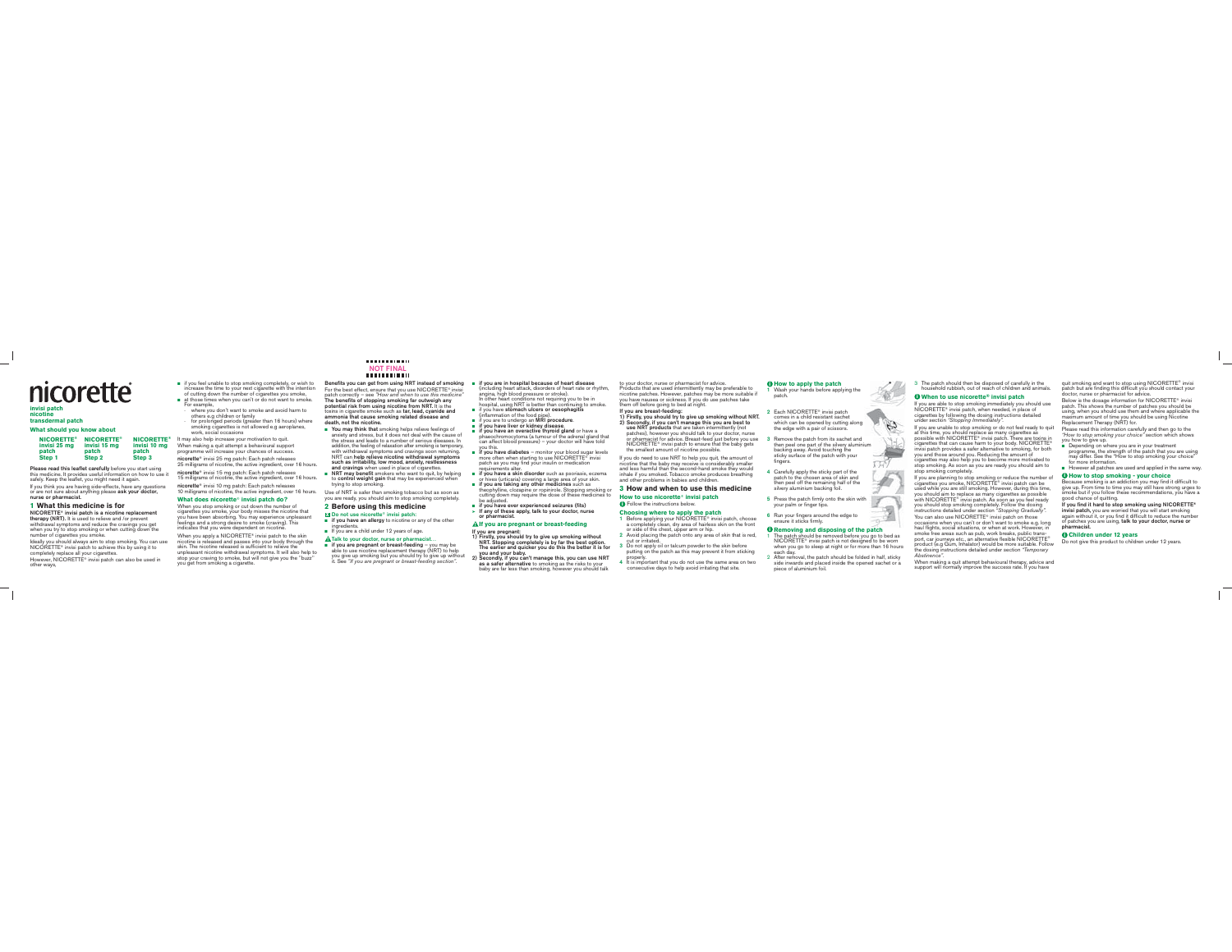

#### **invisi patch nicotine transdermal patch What should you know about**

**NICORETTE® invisi 25 mg patch Step 1 NICORETTE® invisi 15 mg patch Step 2 NICORETTE® invisi 10 mg patch Step 3**

Please read this leaflet carefully before you start using this medicine. It provides useful information on how to use it safely. Keep the leaflet, you might need it again.

If you think you are having side-effects, have any questions or are not sure about anything please ask your doctor nurse or pharmacist.

## **1 What this medicine is for**

 NICORETTE® invisi patch is a nicotine replacement therapy (NRT). It is used to relieve and /or prevent withdrawal symptoms and reduce the cravings you get when you try to stop smoking or when cutting down the number of cigarettes you smoke.

Ideally you should always aim to stop smoking. You can use NICORETTE® invisi patch to achieve this by using it to completely replace all your cigarettes.

However, NICORETTE® invisi patch can also be used in other ways,

 $\blacksquare$  if you feel unable to stop smoking completely, or wish increase the time to your next cigarette with the intenti of cutting down the number of cigarettes you smoke, at those times when you can't or do not want to smoke

For example, or example,<br>where you don't want to smoke and avoid harm to<br>others e.g. children or family

for prolonged periods (greater than 16 hours) where smoking cigarettes is not allowed e.g aeroplanes, work, social occasions

It may also help increase your motivation to quit. When making a quit attempt a behavioural support programme will increase your chances of success. nicorette® invisi 25 mg patch: Each patch releases

25 milligrams of nicotine, the active ingredient, over 16 hours.

nicorette® invisi 15 mg patch: Each patch releases 15 milligrams of nicotine, the active ingredient, over 16 hours.

nicorette® invisi 10 mg patch: Each patch releases 10 milligrams of nicotine, the active ingredient, over 16 hours.

#### **What does nicorette**® **invisi patch do?**

When you stop smoking or cut down the number of cigarettes you side sincking or cut down the nichcettes the that<br>cigarettes you smoke, your body misses the nicotine that feelings and a strong desire to smoke (craving). This indicates that you were dependent on nicotine. When you apply a NICORETTE<sup>®</sup> invisi patch to the skin

nicotine is released and passes into your body through the skin. The nicotine released is sufficient to relieve the unpleasant nicotine withdrawal symptoms. It will also help to stop your craving to smoke, but will not give you the ''buzz'' you get from smoking a cigarette.

-----------

ammonia that cause smoking related disease and

**Pou may think that** smoking helps relieve feelings of anxiety and stress, but it does not deal with the cause of the stress and leads to a number of serious diseases. In addition, the feeling of relaxation after smoking is temporary, with withdrawal symptoms and cravings soon returning NRT can help relieve nicotine withdrawal symptoms such as irritability, low mood, anxiety, restlessness and cravings when used in place of cigarettes. **NRT may benefit** smokers who want to quit, by helping to control weight gain that may be experienced when

Use of NRT is safer than smoking tobacco but as soon as you are ready, you should aim to stop smoking completely. **2 Before using this medicine** X Do not use nicorette® invisi patch: if you have an allergy to nicotine or any of the other ingredients. <sup>Q</sup> If you are a child under 12 years of age. **A** Talk to your doctor, nurse or pharmacist..  $\blacksquare$  if you are pregnant or breast-feeding  $-v$ able to use pregnance replacement therapy (NRT) to help

death, not the nicotine.

trying to stop smoking.

Benefits you can get from using NRT instead of smoking For the best effect, ensure that you use NICORETTE® invisi patch correctly – see "How and when to use this medicine" The benefits of stopping smoking far outweigh any potential risk from using nicotine from NRT. It is the toxing in cingratta smoke such as tar, lead, cyanide and if you are in hospital because of heart disease<br>fincluding heart attack, disorders of heart rate or thythm (including heart attack, disorders of heart rate or rhythm, angina, high blood pressure or stroke). In other heart conditions not requiring you to be in hospital, using NRT is better than continuing to smoke.

- <sup>Q</sup> if you have stomach ulcers or oesophagitis (inflammation of the food pipe). **a** if you are to undergo an MRI procedure.
- 
- **p** if you have liver or kidney disease.
- if you have an overactive thyroid gland or have a <sup>p</sup>haeochromocytoma (a tumour of the adrenal gland that can affect blood pressure) – your doctor will have told you this.
- Q if you have diabetes – monitor your blood sugar levels more often when starting to use NICORETTE® invisi patch as you may find your insulin or medication requirements alter.<br>If you have a skin disorder such as psoriasis, eczema
- **if you have a skin disorder** such as psoriasis, eczema<br>or hives (urticaria) covering a large area of your skin.<br>**if you are taking any other medicines** such as
- theophylline, clozapine or ropinirole. Stopping smoking or
- cutting down may require the dose of these medicines to be adjusted.
- if you have ever experienced seizures (fits)  $\triangleright$  If any of these apply, talk to your doctor, nurse or pharmacist.

#### **A** If you are pregnant or breast-feeding

- If you are pregnant:
- 1) Firstly, you should try to give up smoking without NRT. Stopping completely is by far the best option. The earlier and quicker you do this the better it is for you and your baby.

you give up smoking but you should try to give up without it. See "If you are pregnant or breast-feeding section". 2) Secondly, if you can't manage this, you can use NRT as a safer alternative to smoking as the risks to your baby are far less than smoking, however you should talk

to your doctor, nurse or pharmacist for advice. Products that are used intermittently may be preferable to nicotine patches. However, patches may be more suitable if you have nausea or sickness. If you do use patches take them off before going to bed at night.

If you are breast-feeding:

1) Firstly, you should try to give up smoking without NRT. 2) Secondly, if you can't manage this you are best to use NRT products that are taken intermittently (not patches), however you should talk to your doctor, nurse or pharmacist for advice. Breast-feed just before you use 2 Each NICORETTE® invisi patch comes in a child resistant sachet which can be opened by cutting along the edge with a pair of scissors. 3 Remove the patch from its sachet and

NICORETTE® invisi patch to ensure that the baby gets the smallest amount of nicotine possible. If you do need to use NRT to help you quit, the amount of nicotine that the baby may receive is considerably smaller then peel one part of the silvery aluminium backing away. Avoid touching the sticky surface of the patch with your fingers.

and less harmful than the second-hand smoke they would inhale if you smoked. Tobacco smoke produces breathing **3 How and when to use this medicine**4 Carefully apply the sticky part of the patch to the chosen area of skin and then peel off the remaining half of the silvery aluminium backing foil.

> 5 Press the patch firmly onto the skin with<br>vour palm or finger tips. your palm or finger tips. 6 Run your fingers around the edge to

2. After removal, the patch should be folded in half, sticky side inwards and placed inside the opened sachet or

ensure it sticks firmly. **D** Removing and disposing of the patch 1 The patch should be removed before you go to bed as NICORETTE® invisi patch is not designed to be worn when you go to sleep at night or for more than 16 hours

piece of aluminium foil.

each day.

# **Choosing where to apply the patch<br>1 Before applying your NICORETTE® invisi patch, choose**

a completely clean, dry area of hairless skin on the front or side of the chest, upper arm or hip.

- Avoid placing the patch onto any area of skin that is red, cut or irritated.
- 3 Do not apply oil or talcum powder to the skin before putting on the patch as this may prevent it from sticking

and other problems in babies and children.

**How to use nicorette**® **invisi patch**  $\bigcirc$  Follow the instructions below.

properly. 4 It is important that you do not use the same area on two consecutive days to help avoid irritating that site.

**D** How to apply the patch Wash your hands before applying the patch.

> $-20$ A

The patch should then be disposed of carefully in the household rubbish, out of reach of children and animals.

#### **U** When to use nicorette<sup>®</sup> invisi patch

If you are able to stop smoking immediately you should use NICORETTE® invisi patch, when needed, in place of cigarettes by following the dosing instructions detailed under section "Stopping Immediately".

If you are unable to stop smoking or do not feel ready to quit at this time, you should replace as many cigarettes as possible with NICORETTE® invisi patch. There are toxins in cigarettes that can cause harm to your body. NICORETTE® invisi patch provides a safer alternative to smoking, for both you and those around you. Reducing the amount of cigarettes may also help you to become more motivated to stop smoking. As soon as you are ready you should aim to stop smoking completely.

If you are planning to stop smoking or reduce the number of cigarettes you smoke, NICORETTE® invisi patch can be used while you are still smoking. However, during this time you should aim to replace as many cigarettes as possible with NICORETTE® invisi patch. As soon as you feel ready you should stop smoking completely. Follow the dosing instructions detailed under section "Stopping Gradually". You can also use NICORETTE<sup>®</sup> invisi natch on those occasions when you can't or don't want to smoke e.g. long haul flighte, social situations, or when at work. However, in smoke free areas such as pub, work breaks, public trans-<br>port. car journeys etc., an alternative flexible NICORETTE<sup>®</sup> product (e.g. Gum, Inhalator) would be more suitable. Follow the dosing instructions detailed under section "Temporary Abstinence"

 When making a quit attempt behavioural therapy, advice and support will normally improve the success rate. If you have

quit smoking and want to stop using NICORETTE® invisipatch but are finding this difficult you should contact your doctor, nurse or pharmacist for advice.

Below is the dosage information for NICORETTE® invisipatch. This shows the number of patches you should be using, when you should use them and where applicable the maximum amount of time you should be using Nicotine Replacement Therapy (NRT) for.

Please read this information carefully and then go to the "How to stop smoking your choice" section which shows you how to give up.

Person to give up. programme, the strength of the patch that you are using may differ. See the "How to stop smoking your choice" for more information.

However all patches are used and applied in the same way.

#### **U** How to stop smoking - your choice

Because smoking is an addiction you may find it difficult to give up. From time to time you may still have strong urges to smoke but if you follow these recommendations, you have a good chance of quitting.

If you find it hard to stop smoking using NICORETTE**®**

invisi patch, you are worried that you will start smoking again without it, or you find it difficult to reduce the number of patches you are using, talk to your doctor, nurse or pharmacist.

#### **U** Children under 12 years

Do not give this product to children under 12 years.